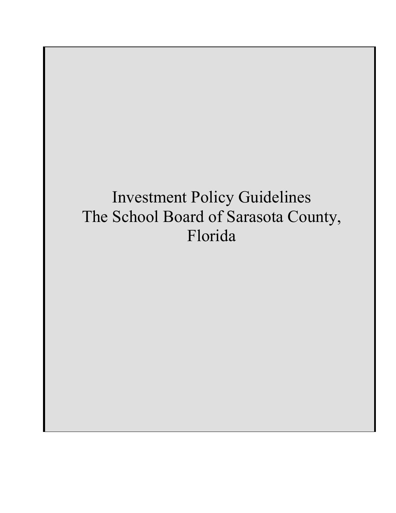# Investment Policy Guidelines The School Board of Sarasota County, Florida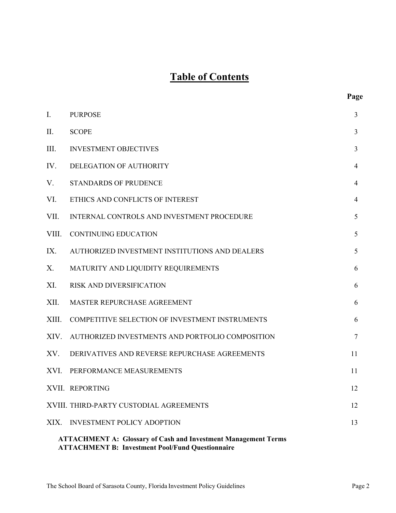## **Table of Contents**

| Ι.                                                                                                                               | <b>PURPOSE</b>                                   | 3              |  |  |
|----------------------------------------------------------------------------------------------------------------------------------|--------------------------------------------------|----------------|--|--|
| II.                                                                                                                              | <b>SCOPE</b>                                     | 3              |  |  |
| Ш.                                                                                                                               | <b>INVESTMENT OBJECTIVES</b>                     | 3              |  |  |
| IV.                                                                                                                              | DELEGATION OF AUTHORITY                          | 4              |  |  |
| V.                                                                                                                               | <b>STANDARDS OF PRUDENCE</b>                     | $\overline{4}$ |  |  |
| VI.                                                                                                                              | ETHICS AND CONFLICTS OF INTEREST                 | $\overline{4}$ |  |  |
| VII.                                                                                                                             | INTERNAL CONTROLS AND INVESTMENT PROCEDURE       | 5              |  |  |
| VIII.                                                                                                                            | <b>CONTINUING EDUCATION</b>                      | 5              |  |  |
| IX.                                                                                                                              | AUTHORIZED INVESTMENT INSTITUTIONS AND DEALERS   | 5              |  |  |
| Х.                                                                                                                               | MATURITY AND LIQUIDITY REQUIREMENTS              | 6              |  |  |
| XI.                                                                                                                              | <b>RISK AND DIVERSIFICATION</b>                  | 6              |  |  |
| XII.                                                                                                                             | MASTER REPURCHASE AGREEMENT                      | 6              |  |  |
| XIII.                                                                                                                            | COMPETITIVE SELECTION OF INVESTMENT INSTRUMENTS  | 6              |  |  |
| XIV.                                                                                                                             | AUTHORIZED INVESTMENTS AND PORTFOLIO COMPOSITION | $\overline{7}$ |  |  |
| XV.                                                                                                                              | DERIVATIVES AND REVERSE REPURCHASE AGREEMENTS    | 11             |  |  |
| XVI.                                                                                                                             | PERFORMANCE MEASUREMENTS                         | 11             |  |  |
|                                                                                                                                  | XVII. REPORTING                                  | 12             |  |  |
|                                                                                                                                  | XVIII. THIRD-PARTY CUSTODIAL AGREEMENTS          | 12             |  |  |
| XIX.                                                                                                                             | <b>INVESTMENT POLICY ADOPTION</b>                | 13             |  |  |
| <b>ATTACHMENT A: Glossary of Cash and Investment Management Terms</b><br><b>ATTACHMENT B: Investment Pool/Fund Questionnaire</b> |                                                  |                |  |  |

**Page**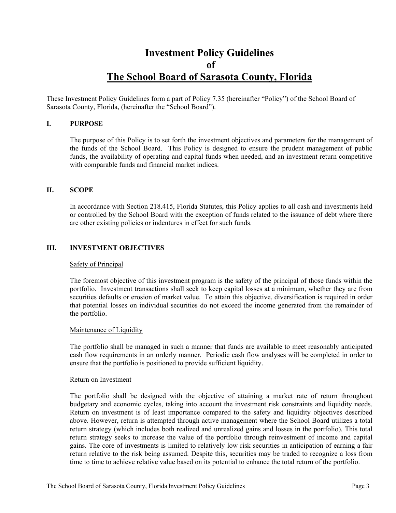### **Investment Policy Guidelines of The School Board of Sarasota County, Florida**

These Investment Policy Guidelines form a part of Policy 7.35 (hereinafter "Policy") of the School Board of Sarasota County, Florida, (hereinafter the "School Board").

#### **I. PURPOSE**

The purpose of this Policy is to set forth the investment objectives and parameters for the management of the funds of the School Board. This Policy is designed to ensure the prudent management of public funds, the availability of operating and capital funds when needed, and an investment return competitive with comparable funds and financial market indices.

#### **II. SCOPE**

In accordance with Section 218.415, Florida Statutes, this Policy applies to all cash and investments held or controlled by the School Board with the exception of funds related to the issuance of debt where there are other existing policies or indentures in effect for such funds.

#### **III. INVESTMENT OBJECTIVES**

#### Safety of Principal

The foremost objective of this investment program is the safety of the principal of those funds within the portfolio. Investment transactions shall seek to keep capital losses at a minimum, whether they are from securities defaults or erosion of market value. To attain this objective, diversification is required in order that potential losses on individual securities do not exceed the income generated from the remainder of the portfolio.

#### Maintenance of Liquidity

The portfolio shall be managed in such a manner that funds are available to meet reasonably anticipated cash flow requirements in an orderly manner. Periodic cash flow analyses will be completed in order to ensure that the portfolio is positioned to provide sufficient liquidity.

#### Return on Investment

The portfolio shall be designed with the objective of attaining a market rate of return throughout budgetary and economic cycles, taking into account the investment risk constraints and liquidity needs. Return on investment is of least importance compared to the safety and liquidity objectives described above. However, return is attempted through active management where the School Board utilizes a total return strategy (which includes both realized and unrealized gains and losses in the portfolio). This total return strategy seeks to increase the value of the portfolio through reinvestment of income and capital gains. The core of investments is limited to relatively low risk securities in anticipation of earning a fair return relative to the risk being assumed. Despite this, securities may be traded to recognize a loss from time to time to achieve relative value based on its potential to enhance the total return of the portfolio.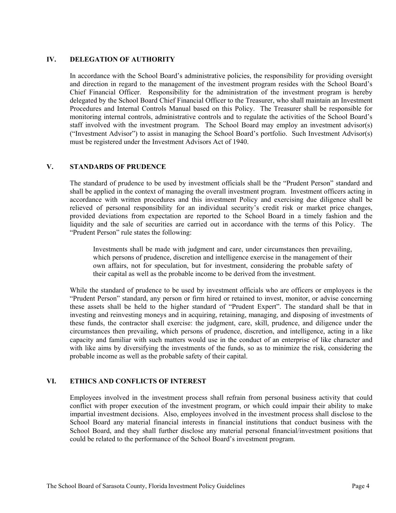#### **IV. DELEGATION OF AUTHORITY**

In accordance with the School Board's administrative policies, the responsibility for providing oversight and direction in regard to the management of the investment program resides with the School Board's Chief Financial Officer. Responsibility for the administration of the investment program is hereby delegated by the School Board Chief Financial Officer to the Treasurer, who shall maintain an Investment Procedures and Internal Controls Manual based on this Policy. The Treasurer shall be responsible for monitoring internal controls, administrative controls and to regulate the activities of the School Board's staff involved with the investment program. The School Board may employ an investment advisor(s) ("Investment Advisor") to assist in managing the School Board's portfolio. Such Investment Advisor(s) must be registered under the Investment Advisors Act of 1940.

#### **V. STANDARDS OF PRUDENCE**

The standard of prudence to be used by investment officials shall be the "Prudent Person" standard and shall be applied in the context of managing the overall investment program. Investment officers acting in accordance with written procedures and this investment Policy and exercising due diligence shall be relieved of personal responsibility for an individual security's credit risk or market price changes, provided deviations from expectation are reported to the School Board in a timely fashion and the liquidity and the sale of securities are carried out in accordance with the terms of this Policy. The "Prudent Person" rule states the following:

Investments shall be made with judgment and care, under circumstances then prevailing, which persons of prudence, discretion and intelligence exercise in the management of their own affairs, not for speculation, but for investment, considering the probable safety of their capital as well as the probable income to be derived from the investment.

While the standard of prudence to be used by investment officials who are officers or employees is the "Prudent Person" standard, any person or firm hired or retained to invest, monitor, or advise concerning these assets shall be held to the higher standard of "Prudent Expert". The standard shall be that in investing and reinvesting moneys and in acquiring, retaining, managing, and disposing of investments of these funds, the contractor shall exercise: the judgment, care, skill, prudence, and diligence under the circumstances then prevailing, which persons of prudence, discretion, and intelligence, acting in a like capacity and familiar with such matters would use in the conduct of an enterprise of like character and with like aims by diversifying the investments of the funds, so as to minimize the risk, considering the probable income as well as the probable safety of their capital.

#### **VI. ETHICS AND CONFLICTS OF INTEREST**

Employees involved in the investment process shall refrain from personal business activity that could conflict with proper execution of the investment program, or which could impair their ability to make impartial investment decisions. Also, employees involved in the investment process shall disclose to the School Board any material financial interests in financial institutions that conduct business with the School Board, and they shall further disclose any material personal financial/investment positions that could be related to the performance of the School Board's investment program.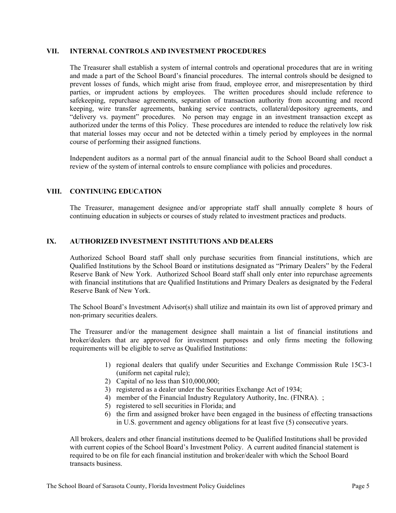#### **VII. INTERNAL CONTROLS AND INVESTMENT PROCEDURES**

The Treasurer shall establish a system of internal controls and operational procedures that are in writing and made a part of the School Board's financial procedures. The internal controls should be designed to prevent losses of funds, which might arise from fraud, employee error, and misrepresentation by third parties, or imprudent actions by employees. The written procedures should include reference to safekeeping, repurchase agreements, separation of transaction authority from accounting and record keeping, wire transfer agreements, banking service contracts, collateral/depository agreements, and "delivery vs. payment" procedures. No person may engage in an investment transaction except as authorized under the terms of this Policy. These procedures are intended to reduce the relatively low risk that material losses may occur and not be detected within a timely period by employees in the normal course of performing their assigned functions.

Independent auditors as a normal part of the annual financial audit to the School Board shall conduct a review of the system of internal controls to ensure compliance with policies and procedures.

#### **VIII. CONTINUING EDUCATION**

The Treasurer, management designee and/or appropriate staff shall annually complete 8 hours of continuing education in subjects or courses of study related to investment practices and products.

#### **IX. AUTHORIZED INVESTMENT INSTITUTIONS AND DEALERS**

Authorized School Board staff shall only purchase securities from financial institutions, which are Qualified Institutions by the School Board or institutions designated as "Primary Dealers" by the Federal Reserve Bank of New York. Authorized School Board staff shall only enter into repurchase agreements with financial institutions that are Qualified Institutions and Primary Dealers as designated by the Federal Reserve Bank of New York.

The School Board's Investment Advisor(s) shall utilize and maintain its own list of approved primary and non-primary securities dealers.

The Treasurer and/or the management designee shall maintain a list of financial institutions and broker/dealers that are approved for investment purposes and only firms meeting the following requirements will be eligible to serve as Qualified Institutions:

- 1) regional dealers that qualify under Securities and Exchange Commission Rule 15C3-1 (uniform net capital rule);
- 2) Capital of no less than \$10,000,000;
- 3) registered as a dealer under the Securities Exchange Act of 1934;
- 4) member of the Financial Industry Regulatory Authority, Inc. (FINRA). ;
- 5) registered to sell securities in Florida; and
- 6) the firm and assigned broker have been engaged in the business of effecting transactions in U.S. government and agency obligations for at least five (5) consecutive years.

All brokers, dealers and other financial institutions deemed to be Qualified Institutions shall be provided with current copies of the School Board's Investment Policy. A current audited financial statement is required to be on file for each financial institution and broker/dealer with which the School Board transacts business.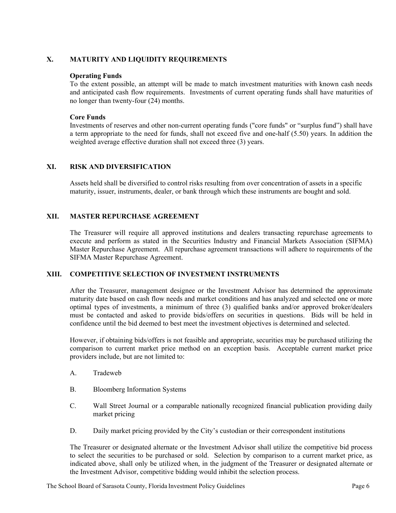#### **X. MATURITY AND LIQUIDITY REQUIREMENTS**

#### **Operating Funds**

To the extent possible, an attempt will be made to match investment maturities with known cash needs and anticipated cash flow requirements. Investments of current operating funds shall have maturities of no longer than twenty-four (24) months.

#### **Core Funds**

Investments of reserves and other non-current operating funds ("core funds" or "surplus fund") shall have a term appropriate to the need for funds, shall not exceed five and one-half (5.50) years. In addition the weighted average effective duration shall not exceed three (3) years.

#### **XI. RISK AND DIVERSIFICATION**

Assets held shall be diversified to control risks resulting from over concentration of assets in a specific maturity, issuer, instruments, dealer, or bank through which these instruments are bought and sold.

#### **XII. MASTER REPURCHASE AGREEMENT**

The Treasurer will require all approved institutions and dealers transacting repurchase agreements to execute and perform as stated in the Securities Industry and Financial Markets Association (SIFMA) Master Repurchase Agreement. All repurchase agreement transactions will adhere to requirements of the SIFMA Master Repurchase Agreement.

#### **XIII. COMPETITIVE SELECTION OF INVESTMENT INSTRUMENTS**

After the Treasurer, management designee or the Investment Advisor has determined the approximate maturity date based on cash flow needs and market conditions and has analyzed and selected one or more optimal types of investments, a minimum of three (3) qualified banks and/or approved broker/dealers must be contacted and asked to provide bids/offers on securities in questions. Bids will be held in confidence until the bid deemed to best meet the investment objectives is determined and selected.

However, if obtaining bids/offers is not feasible and appropriate, securities may be purchased utilizing the comparison to current market price method on an exception basis. Acceptable current market price providers include, but are not limited to:

- A. Tradeweb
- B. Bloomberg Information Systems
- C. Wall Street Journal or a comparable nationally recognized financial publication providing daily market pricing
- D. Daily market pricing provided by the City's custodian or their correspondent institutions

The Treasurer or designated alternate or the Investment Advisor shall utilize the competitive bid process to select the securities to be purchased or sold. Selection by comparison to a current market price, as indicated above, shall only be utilized when, in the judgment of the Treasurer or designated alternate or the Investment Advisor, competitive bidding would inhibit the selection process.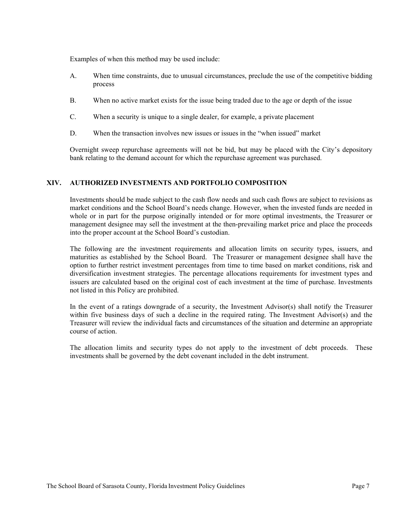Examples of when this method may be used include:

- A. When time constraints, due to unusual circumstances, preclude the use of the competitive bidding process
- B. When no active market exists for the issue being traded due to the age or depth of the issue
- C. When a security is unique to a single dealer, for example, a private placement
- D. When the transaction involves new issues or issues in the "when issued" market

Overnight sweep repurchase agreements will not be bid, but may be placed with the City's depository bank relating to the demand account for which the repurchase agreement was purchased.

#### **XIV. AUTHORIZED INVESTMENTS AND PORTFOLIO COMPOSITION**

Investments should be made subject to the cash flow needs and such cash flows are subject to revisions as market conditions and the School Board's needs change. However, when the invested funds are needed in whole or in part for the purpose originally intended or for more optimal investments, the Treasurer or management designee may sell the investment at the then-prevailing market price and place the proceeds into the proper account at the School Board's custodian.

The following are the investment requirements and allocation limits on security types, issuers, and maturities as established by the School Board. The Treasurer or management designee shall have the option to further restrict investment percentages from time to time based on market conditions, risk and diversification investment strategies. The percentage allocations requirements for investment types and issuers are calculated based on the original cost of each investment at the time of purchase. Investments not listed in this Policy are prohibited.

In the event of a ratings downgrade of a security, the Investment Advisor(s) shall notify the Treasurer within five business days of such a decline in the required rating. The Investment Advisor(s) and the Treasurer will review the individual facts and circumstances of the situation and determine an appropriate course of action.

The allocation limits and security types do not apply to the investment of debt proceeds. These investments shall be governed by the debt covenant included in the debt instrument.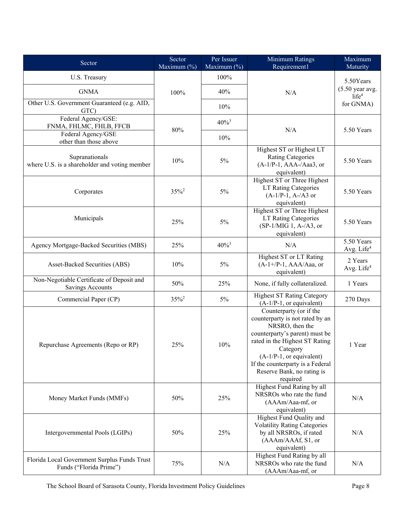| Sector                                                                  | Sector<br>Maximum (%) | Per Issuer<br>Maximum (%) | Minimum Ratings<br>Requirement1                                                                                                                                                                                                                                           | Maximum<br>Maturity                             |
|-------------------------------------------------------------------------|-----------------------|---------------------------|---------------------------------------------------------------------------------------------------------------------------------------------------------------------------------------------------------------------------------------------------------------------------|-------------------------------------------------|
| U.S. Treasury                                                           |                       | 100%                      |                                                                                                                                                                                                                                                                           | 5.50Years                                       |
| <b>GNMA</b>                                                             | 100%                  | 40%                       | N/A                                                                                                                                                                                                                                                                       | $(5.50 \text{ year avg.})$<br>life <sup>4</sup> |
| Other U.S. Government Guaranteed (e.g. AID,<br>GTC)                     |                       | 10%                       |                                                                                                                                                                                                                                                                           | for GNMA)                                       |
| Federal Agency/GSE:<br>FNMA, FHLMC, FHLB, FFCB                          | $80\%$                | $40\%$ <sup>3</sup>       | N/A                                                                                                                                                                                                                                                                       | 5.50 Years                                      |
| Federal Agency/GSE<br>other than those above                            |                       | 10%                       |                                                                                                                                                                                                                                                                           |                                                 |
| Supranationals<br>where U.S. is a shareholder and voting member         | 10%                   | $5\%$                     | Highest ST or Highest LT<br><b>Rating Categories</b><br>$(A-1/P-1, AAA-/Aaa3, or$<br>equivalent)                                                                                                                                                                          | 5.50 Years                                      |
| Corporates                                                              | $35\%$ <sup>2</sup>   | $5\%$                     | Highest ST or Three Highest<br><b>LT Rating Categories</b><br>$(A-1/P-1, A-/A3$ or<br>equivalent)                                                                                                                                                                         | 5.50 Years                                      |
| Municipals                                                              | 25%                   | $5\%$                     | Highest ST or Three Highest<br><b>LT Rating Categories</b><br>$(SP-1/MIG 1, A-A3, or$<br>equivalent)                                                                                                                                                                      | 5.50 Years                                      |
| Agency Mortgage-Backed Securities (MBS)                                 | 25%                   | $40\%$ <sup>3</sup>       | N/A                                                                                                                                                                                                                                                                       | 5.50 Years<br>Avg. Life <sup>4</sup>            |
| Asset-Backed Securities (ABS)                                           | 10%                   | 5%                        | Highest ST or LT Rating<br>$(A-1+/P-1, AAA/Aaa, or$<br>equivalent)                                                                                                                                                                                                        | 2 Years<br>Avg. Life <sup>4</sup>               |
| Non-Negotiable Certificate of Deposit and<br><b>Savings Accounts</b>    | 50%                   | 25%                       | None, if fully collateralized.                                                                                                                                                                                                                                            | 1 Years                                         |
| Commercial Paper (CP)                                                   | $35\%$ <sup>2</sup>   | 5%                        | <b>Highest ST Rating Category</b><br>$(A-1/P-1, or equivalent)$                                                                                                                                                                                                           | 270 Days                                        |
| Repurchase Agreements (Repo or RP)                                      | 25%                   | $10\%$                    | Counterparty (or if the<br>counterparty is not rated by an<br>NRSRO, then the<br>counterparty's parent) must be<br>rated in the Highest ST Rating<br>Category<br>$(A-1/P-1, or equivalent)$<br>If the counterparty is a Federal<br>Reserve Bank, no rating is<br>required | 1 Year                                          |
| Money Market Funds (MMFs)                                               | 50%                   | 25%                       | Highest Fund Rating by all<br>NRSROs who rate the fund<br>(AAAm/Aaa-mf, or<br>equivalent)                                                                                                                                                                                 | N/A                                             |
| Intergovernmental Pools (LGIPs)                                         | 50%                   | 25%                       | Highest Fund Quality and<br><b>Volatility Rating Categories</b><br>by all NRSROs, if rated<br>(AAAm/AAAf, S1, or<br>equivalent)                                                                                                                                           | N/A                                             |
| Florida Local Government Surplus Funds Trust<br>Funds ("Florida Prime") | 75%                   | N/A                       | Highest Fund Rating by all<br>NRSROs who rate the fund<br>(AAAm/Aaa-mf, or                                                                                                                                                                                                | $\rm N/A$                                       |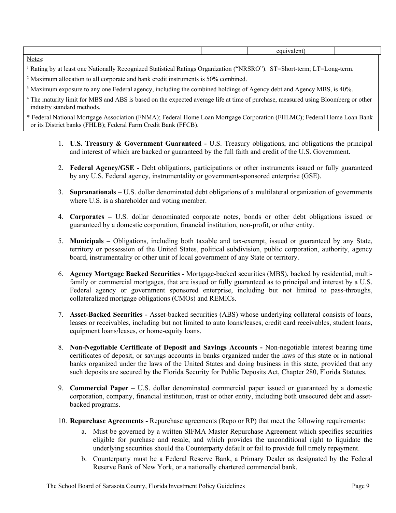| <b>N</b> T<br>Notes |  |  |
|---------------------|--|--|

<sup>1</sup> Rating by at least one Nationally Recognized Statistical Ratings Organization ("NRSRO"). ST=Short-term; LT=Long-term.

 $2$  Maximum allocation to all corporate and bank credit instruments is 50% combined.

<sup>3</sup> Maximum exposure to any one Federal agency, including the combined holdings of Agency debt and Agency MBS, is 40%.

| <sup>4</sup> The maturity limit for MBS and ABS is based on the expected average life at time of purchase, measured using Bloomberg or other |  |
|----------------------------------------------------------------------------------------------------------------------------------------------|--|
| industry standard methods.                                                                                                                   |  |

\* Federal National Mortgage Association (FNMA); Federal Home Loan Mortgage Corporation (FHLMC); Federal Home Loan Bank or its District banks (FHLB); Federal Farm Credit Bank (FFCB).

- 1. **U.S. Treasury & Government Guaranteed** U.S. Treasury obligations, and obligations the principal and interest of which are backed or guaranteed by the full faith and credit of the U.S. Government.
- 2. **Federal Agency/GSE** Debt obligations, participations or other instruments issued or fully guaranteed by any U.S. Federal agency, instrumentality or government-sponsored enterprise (GSE).
- 3. **Supranationals –** U.S. dollar denominated debt obligations of a multilateral organization of governments where U.S. is a shareholder and voting member.
- 4. **Corporates** U.S. dollar denominated corporate notes, bonds or other debt obligations issued or guaranteed by a domestic corporation, financial institution, non-profit, or other entity.
- 5. **Municipals** Obligations, including both taxable and tax-exempt, issued or guaranteed by any State, territory or possession of the United States, political subdivision, public corporation, authority, agency board, instrumentality or other unit of local government of any State or territory.
- 6. **Agency Mortgage Backed Securities** Mortgage-backed securities (MBS), backed by residential, multifamily or commercial mortgages, that are issued or fully guaranteed as to principal and interest by a U.S. Federal agency or government sponsored enterprise, including but not limited to pass-throughs, collateralized mortgage obligations (CMOs) and REMICs.
- 7. **Asset-Backed Securities** Asset-backed securities (ABS) whose underlying collateral consists of loans, leases or receivables, including but not limited to auto loans/leases, credit card receivables, student loans, equipment loans/leases, or home-equity loans.
- 8. **Non-Negotiable Certificate of Deposit and Savings Accounts** Non-negotiable interest bearing time certificates of deposit, or savings accounts in banks organized under the laws of this state or in national banks organized under the laws of the United States and doing business in this state, provided that any such deposits are secured by the Florida Security for Public Deposits Act, Chapter 280, Florida Statutes.
- 9. **Commercial Paper –** U.S. dollar denominated commercial paper issued or guaranteed by a domestic corporation, company, financial institution, trust or other entity, including both unsecured debt and assetbacked programs.
- 10. **Repurchase Agreements** Repurchase agreements (Repo or RP) that meet the following requirements:
	- a. Must be governed by a written SIFMA Master Repurchase Agreement which specifies securities eligible for purchase and resale, and which provides the unconditional right to liquidate the underlying securities should the Counterparty default or fail to provide full timely repayment.
	- b. Counterparty must be a Federal Reserve Bank, a Primary Dealer as designated by the Federal Reserve Bank of New York, or a nationally chartered commercial bank.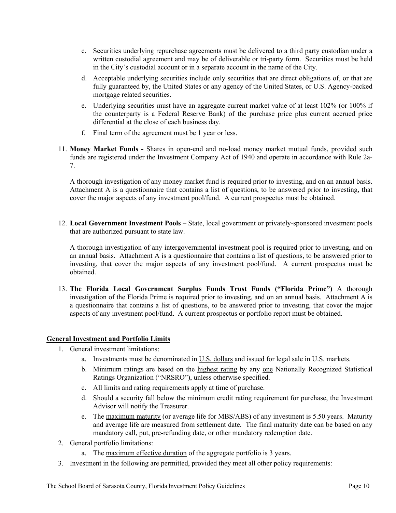- c. Securities underlying repurchase agreements must be delivered to a third party custodian under a written custodial agreement and may be of deliverable or tri-party form. Securities must be held in the City's custodial account or in a separate account in the name of the City.
- d. Acceptable underlying securities include only securities that are direct obligations of, or that are fully guaranteed by, the United States or any agency of the United States, or U.S. Agency-backed mortgage related securities.
- e. Underlying securities must have an aggregate current market value of at least 102% (or 100% if the counterparty is a Federal Reserve Bank) of the purchase price plus current accrued price differential at the close of each business day.
- f. Final term of the agreement must be 1 year or less.
- 11. **Money Market Funds** Shares in open-end and no-load money market mutual funds, provided such funds are registered under the Investment Company Act of 1940 and operate in accordance with Rule 2a-7.

A thorough investigation of any money market fund is required prior to investing, and on an annual basis. Attachment A is a questionnaire that contains a list of questions, to be answered prior to investing, that cover the major aspects of any investment pool/fund. A current prospectus must be obtained.

12. **Local Government Investment Pools –** State, local government or privately-sponsored investment pools that are authorized pursuant to state law.

A thorough investigation of any intergovernmental investment pool is required prior to investing, and on an annual basis. Attachment A is a questionnaire that contains a list of questions, to be answered prior to investing, that cover the major aspects of any investment pool/fund. A current prospectus must be obtained.

13. **The Florida Local Government Surplus Funds Trust Funds ("Florida Prime")** A thorough investigation of the Florida Prime is required prior to investing, and on an annual basis. Attachment A is a questionnaire that contains a list of questions, to be answered prior to investing, that cover the major aspects of any investment pool/fund. A current prospectus or portfolio report must be obtained.

#### **General Investment and Portfolio Limits**

- 1. General investment limitations:
	- a. Investments must be denominated in U.S. dollars and issued for legal sale in U.S. markets.
	- b. Minimum ratings are based on the highest rating by any one Nationally Recognized Statistical Ratings Organization ("NRSRO"), unless otherwise specified.
	- c. All limits and rating requirements apply at time of purchase.
	- d. Should a security fall below the minimum credit rating requirement for purchase, the Investment Advisor will notify the Treasurer.
	- e. The maximum maturity (or average life for MBS/ABS) of any investment is 5.50 years. Maturity and average life are measured from settlement date. The final maturity date can be based on any mandatory call, put, pre-refunding date, or other mandatory redemption date.
- 2. General portfolio limitations:
	- a. The maximum effective duration of the aggregate portfolio is 3 years.
- 3. Investment in the following are permitted, provided they meet all other policy requirements: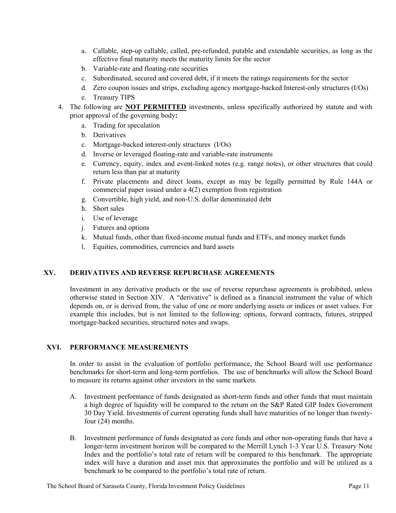- a. Callable, step-up callable, called, pre-refunded, putable and extendable securities, as long as the effective final maturity meets the maturity limits for the sector
- b. Variable-rate and floating-rate securities
- c. Subordinated, secured and covered debt, if it meets the ratings requirements for the sector
- d. Zero coupon issues and strips, excluding agency mortgage-backed Interest-only structures (I/Os)
- e. Treasury TIPS
- 4. The following are **NOT PERMITTED** investments, unless specifically authorized by statute and with prior approval of the governing body**:**
	- a. Trading for speculation
	- b. Derivatives
	- c. Mortgage-backed interest-only structures (I/Os)
	- d. Inverse or leveraged floating-rate and variable-rate instruments
	- e. Currency, equity, index and event-linked notes (e.g. range notes), or other structures that could return less than par at maturity
	- f. Private placements and direct loans, except as may be legally permitted by Rule 144A or commercial paper issued under a 4(2) exemption from registration
	- g. Convertible, high yield, and non-U.S. dollar denominated debt
	- h. Short sales
	- i. Use of leverage
	- j. Futures and options
	- k. Mutual funds, other than fixed-income mutual funds and ETFs, and money market funds
	- l. Equities, commodities, currencies and hard assets

#### **XV. DERIVATIVES AND REVERSE REPURCHASE AGREEMENTS**

Investment in any derivative products or the use of reverse repurchase agreements is prohibited, unless otherwise stated in Section XIV. A "derivative" is defined as a financial instrument the value of which depends on, or is derived from, the value of one or more underlying assets or indices or asset values. For example this includes, but is not limited to the following: options, forward contracts, futures, stripped mortgage-backed securities, structured notes and swaps.

#### **XVI. PERFORMANCE MEASUREMENTS**

In order to assist in the evaluation of portfolio performance, the School Board will use performance benchmarks for short-term and long-term portfolios. The use of benchmarks will allow the School Board to measure its returns against other investors in the same markets.

- A. Investment performance of funds designated as short-term funds and other funds that must maintain a high degree of liquidity will be compared to the return on the S&P Rated GIP Index Government 30 Day Yield. Investments of current operating funds shall have maturities of no longer than twentyfour (24) months.
- B. Investment performance of funds designated as core funds and other non-operating funds that have a longer-term investment horizon will be compared to the Merrill Lynch 1-3 Year U.S. Treasury Note Index and the portfolio's total rate of return will be compared to this benchmark. The appropriate index will have a duration and asset mix that approximates the portfolio and will be utilized as a benchmark to be compared to the portfolio's total rate of return.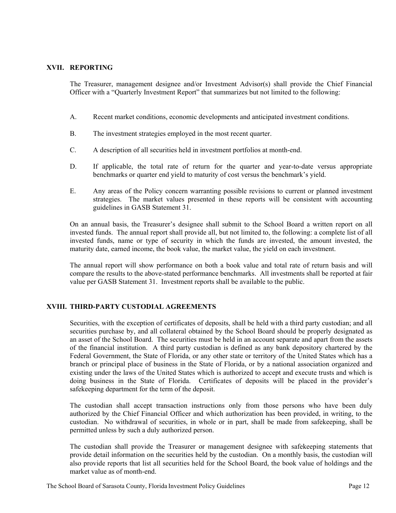#### **XVII. REPORTING**

The Treasurer, management designee and/or Investment Advisor(s) shall provide the Chief Financial Officer with a "Quarterly Investment Report" that summarizes but not limited to the following:

- A. Recent market conditions, economic developments and anticipated investment conditions.
- B. The investment strategies employed in the most recent quarter.
- C. A description of all securities held in investment portfolios at month-end.
- D. If applicable, the total rate of return for the quarter and year-to-date versus appropriate benchmarks or quarter end yield to maturity of cost versus the benchmark's yield.
- E. Any areas of the Policy concern warranting possible revisions to current or planned investment strategies. The market values presented in these reports will be consistent with accounting guidelines in GASB Statement 31.

On an annual basis, the Treasurer's designee shall submit to the School Board a written report on all invested funds. The annual report shall provide all, but not limited to, the following: a complete list of all invested funds, name or type of security in which the funds are invested, the amount invested, the maturity date, earned income, the book value, the market value, the yield on each investment.

The annual report will show performance on both a book value and total rate of return basis and will compare the results to the above-stated performance benchmarks. All investments shall be reported at fair value per GASB Statement 31. Investment reports shall be available to the public.

#### **XVIII. THIRD-PARTY CUSTODIAL AGREEMENTS**

Securities, with the exception of certificates of deposits, shall be held with a third party custodian; and all securities purchase by, and all collateral obtained by the School Board should be properly designated as an asset of the School Board. The securities must be held in an account separate and apart from the assets of the financial institution. A third party custodian is defined as any bank depository chartered by the Federal Government, the State of Florida, or any other state or territory of the United States which has a branch or principal place of business in the State of Florida, or by a national association organized and existing under the laws of the United States which is authorized to accept and execute trusts and which is doing business in the State of Florida. Certificates of deposits will be placed in the provider's safekeeping department for the term of the deposit.

The custodian shall accept transaction instructions only from those persons who have been duly authorized by the Chief Financial Officer and which authorization has been provided, in writing, to the custodian. No withdrawal of securities, in whole or in part, shall be made from safekeeping, shall be permitted unless by such a duly authorized person.

The custodian shall provide the Treasurer or management designee with safekeeping statements that provide detail information on the securities held by the custodian. On a monthly basis, the custodian will also provide reports that list all securities held for the School Board, the book value of holdings and the market value as of month-end.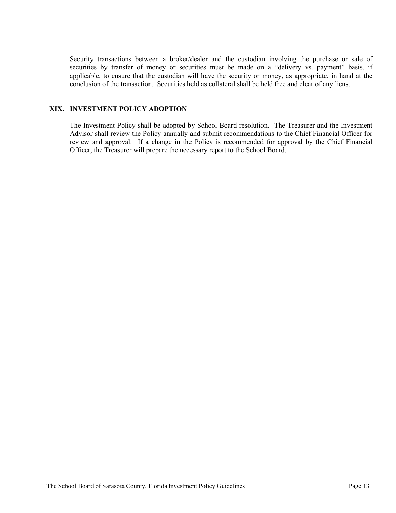Security transactions between a broker/dealer and the custodian involving the purchase or sale of securities by transfer of money or securities must be made on a "delivery vs. payment" basis, if applicable, to ensure that the custodian will have the security or money, as appropriate, in hand at the conclusion of the transaction. Securities held as collateral shall be held free and clear of any liens.

#### **XIX. INVESTMENT POLICY ADOPTION**

The Investment Policy shall be adopted by School Board resolution. The Treasurer and the Investment Advisor shall review the Policy annually and submit recommendations to the Chief Financial Officer for review and approval. If a change in the Policy is recommended for approval by the Chief Financial Officer, the Treasurer will prepare the necessary report to the School Board.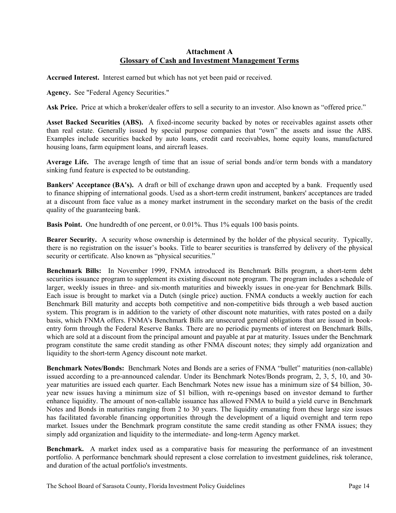#### **Attachment A Glossary of Cash and Investment Management Terms**

**Accrued Interest.** Interest earned but which has not yet been paid or received.

**Agency.** See "Federal Agency Securities."

**Ask Price.** Price at which a broker/dealer offers to sell a security to an investor. Also known as "offered price."

**Asset Backed Securities (ABS).** A fixed-income security backed by notes or receivables against assets other than real estate. Generally issued by special purpose companies that "own" the assets and issue the ABS. Examples include securities backed by auto loans, credit card receivables, home equity loans, manufactured housing loans, farm equipment loans, and aircraft leases.

**Average Life.** The average length of time that an issue of serial bonds and/or term bonds with a mandatory sinking fund feature is expected to be outstanding.

**Bankers' Acceptance (BA's).** A draft or bill of exchange drawn upon and accepted by a bank. Frequently used to finance shipping of international goods. Used as a short-term credit instrument, bankers' acceptances are traded at a discount from face value as a money market instrument in the secondary market on the basis of the credit quality of the guaranteeing bank.

**Basis Point.** One hundredth of one percent, or 0.01%. Thus 1% equals 100 basis points.

**Bearer Security.** A security whose ownership is determined by the holder of the physical security. Typically, there is no registration on the issuer's books. Title to bearer securities is transferred by delivery of the physical security or certificate. Also known as "physical securities."

**Benchmark Bills:** In November 1999, FNMA introduced its Benchmark Bills program, a short-term debt securities issuance program to supplement its existing discount note program. The program includes a schedule of larger, weekly issues in three- and six-month maturities and biweekly issues in one-year for Benchmark Bills. Each issue is brought to market via a Dutch (single price) auction. FNMA conducts a weekly auction for each Benchmark Bill maturity and accepts both competitive and non-competitive bids through a web based auction system. This program is in addition to the variety of other discount note maturities, with rates posted on a daily basis, which FNMA offers. FNMA's Benchmark Bills are unsecured general obligations that are issued in bookentry form through the Federal Reserve Banks. There are no periodic payments of interest on Benchmark Bills, which are sold at a discount from the principal amount and payable at par at maturity. Issues under the Benchmark program constitute the same credit standing as other FNMA discount notes; they simply add organization and liquidity to the short-term Agency discount note market.

**Benchmark Notes/Bonds:** Benchmark Notes and Bonds are a series of FNMA "bullet" maturities (non-callable) issued according to a pre-announced calendar. Under its Benchmark Notes/Bonds program, 2, 3, 5, 10, and 30 year maturities are issued each quarter. Each Benchmark Notes new issue has a minimum size of \$4 billion, 30 year new issues having a minimum size of \$1 billion, with re-openings based on investor demand to further enhance liquidity. The amount of non-callable issuance has allowed FNMA to build a yield curve in Benchmark Notes and Bonds in maturities ranging from 2 to 30 years. The liquidity emanating from these large size issues has facilitated favorable financing opportunities through the development of a liquid overnight and term repo market. Issues under the Benchmark program constitute the same credit standing as other FNMA issues; they simply add organization and liquidity to the intermediate- and long-term Agency market.

**Benchmark.** A market index used as a comparative basis for measuring the performance of an investment portfolio. A performance benchmark should represent a close correlation to investment guidelines, risk tolerance, and duration of the actual portfolio's investments.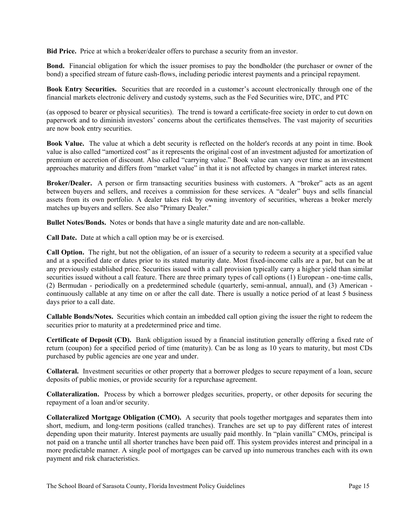**Bid Price.** Price at which a broker/dealer offers to purchase a security from an investor.

**Bond.** Financial obligation for which the issuer promises to pay the bondholder (the purchaser or owner of the bond) a specified stream of future cash-flows, including periodic interest payments and a principal repayment.

**Book Entry Securities.** Securities that are recorded in a customer's account electronically through one of the financial markets electronic delivery and custody systems, such as the Fed Securities wire, DTC, and PTC

(as opposed to bearer or physical securities). The trend is toward a certificate-free society in order to cut down on paperwork and to diminish investors' concerns about the certificates themselves. The vast majority of securities are now book entry securities.

**Book Value.** The value at which a debt security is reflected on the holder's records at any point in time. Book value is also called "amortized cost" as it represents the original cost of an investment adjusted for amortization of premium or accretion of discount. Also called "carrying value." Book value can vary over time as an investment approaches maturity and differs from "market value" in that it is not affected by changes in market interest rates.

**Broker/Dealer.** A person or firm transacting securities business with customers. A "broker" acts as an agent between buyers and sellers, and receives a commission for these services. A "dealer" buys and sells financial assets from its own portfolio. A dealer takes risk by owning inventory of securities, whereas a broker merely matches up buyers and sellers. See also "Primary Dealer."

**Bullet Notes/Bonds.** Notes or bonds that have a single maturity date and are non-callable.

**Call Date.** Date at which a call option may be or is exercised.

**Call Option.** The right, but not the obligation, of an issuer of a security to redeem a security at a specified value and at a specified date or dates prior to its stated maturity date. Most fixed-income calls are a par, but can be at any previously established price. Securities issued with a call provision typically carry a higher yield than similar securities issued without a call feature. There are three primary types of call options (1) European - one-time calls, (2) Bermudan - periodically on a predetermined schedule (quarterly, semi-annual, annual), and (3) American continuously callable at any time on or after the call date. There is usually a notice period of at least 5 business days prior to a call date.

**Callable Bonds/Notes.** Securities which contain an imbedded call option giving the issuer the right to redeem the securities prior to maturity at a predetermined price and time.

**Certificate of Deposit (CD).** Bank obligation issued by a financial institution generally offering a fixed rate of return (coupon) for a specified period of time (maturity). Can be as long as 10 years to maturity, but most CDs purchased by public agencies are one year and under.

**Collateral.** Investment securities or other property that a borrower pledges to secure repayment of a loan, secure deposits of public monies, or provide security for a repurchase agreement.

**Collateralization.** Process by which a borrower pledges securities, property, or other deposits for securing the repayment of a loan and/or security.

**Collateralized Mortgage Obligation (CMO).** A security that pools together mortgages and separates them into short, medium, and long-term positions (called tranches). Tranches are set up to pay different rates of interest depending upon their maturity. Interest payments are usually paid monthly. In "plain vanilla" CMOs, principal is not paid on a tranche until all shorter tranches have been paid off. This system provides interest and principal in a more predictable manner. A single pool of mortgages can be carved up into numerous tranches each with its own payment and risk characteristics.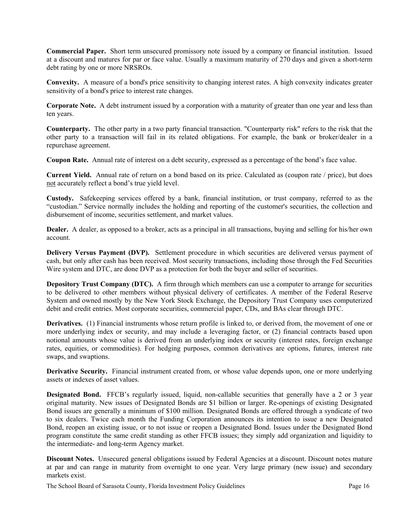**Commercial Paper.** Short term unsecured promissory note issued by a company or financial institution. Issued at a discount and matures for par or face value. Usually a maximum maturity of 270 days and given a short-term debt rating by one or more NRSROs.

**Convexity.** A measure of a bond's price sensitivity to changing interest rates. A high convexity indicates greater sensitivity of a bond's price to interest rate changes.

**Corporate Note.** A debt instrument issued by a corporation with a maturity of greater than one year and less than ten years.

**Counterparty.** The other party in a two party financial transaction. "Counterparty risk" refers to the risk that the other party to a transaction will fail in its related obligations. For example, the bank or broker/dealer in a repurchase agreement.

**Coupon Rate.** Annual rate of interest on a debt security, expressed as a percentage of the bond's face value.

**Current Yield.** Annual rate of return on a bond based on its price. Calculated as (coupon rate / price), but does not accurately reflect a bond's true yield level.

**Custody.** Safekeeping services offered by a bank, financial institution, or trust company, referred to as the "custodian." Service normally includes the holding and reporting of the customer's securities, the collection and disbursement of income, securities settlement, and market values.

**Dealer.** A dealer, as opposed to a broker, acts as a principal in all transactions, buying and selling for his/her own account.

**Delivery Versus Payment (DVP).** Settlement procedure in which securities are delivered versus payment of cash, but only after cash has been received. Most security transactions, including those through the Fed Securities Wire system and DTC, are done DVP as a protection for both the buyer and seller of securities.

**Depository Trust Company (DTC).** A firm through which members can use a computer to arrange for securities to be delivered to other members without physical delivery of certificates. A member of the Federal Reserve System and owned mostly by the New York Stock Exchange, the Depository Trust Company uses computerized debit and credit entries. Most corporate securities, commercial paper, CDs, and BAs clear through DTC.

**Derivatives.** (1) Financial instruments whose return profile is linked to, or derived from, the movement of one or more underlying index or security, and may include a leveraging factor, or (2) financial contracts based upon notional amounts whose value is derived from an underlying index or security (interest rates, foreign exchange rates, equities, or commodities). For hedging purposes, common derivatives are options, futures, interest rate swaps, and swaptions.

**Derivative Security.** Financial instrument created from, or whose value depends upon, one or more underlying assets or indexes of asset values.

**Designated Bond.** FFCB's regularly issued, liquid, non-callable securities that generally have a 2 or 3 year original maturity. New issues of Designated Bonds are \$1 billion or larger. Re-openings of existing Designated Bond issues are generally a minimum of \$100 million. Designated Bonds are offered through a syndicate of two to six dealers. Twice each month the Funding Corporation announces its intention to issue a new Designated Bond, reopen an existing issue, or to not issue or reopen a Designated Bond. Issues under the Designated Bond program constitute the same credit standing as other FFCB issues; they simply add organization and liquidity to the intermediate- and long-term Agency market.

**Discount Notes.** Unsecured general obligations issued by Federal Agencies at a discount. Discount notes mature at par and can range in maturity from overnight to one year. Very large primary (new issue) and secondary markets exist.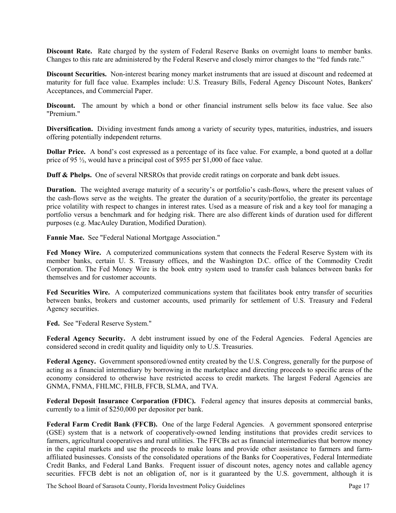**Discount Rate.** Rate charged by the system of Federal Reserve Banks on overnight loans to member banks. Changes to this rate are administered by the Federal Reserve and closely mirror changes to the "fed funds rate."

**Discount Securities.** Non-interest bearing money market instruments that are issued at discount and redeemed at maturity for full face value. Examples include: U.S. Treasury Bills, Federal Agency Discount Notes, Bankers' Acceptances, and Commercial Paper.

**Discount.** The amount by which a bond or other financial instrument sells below its face value. See also "Premium."

**Diversification.** Dividing investment funds among a variety of security types, maturities, industries, and issuers offering potentially independent returns.

**Dollar Price.** A bond's cost expressed as a percentage of its face value. For example, a bond quoted at a dollar price of 95 ½, would have a principal cost of \$955 per \$1,000 of face value.

**Duff & Phelps.** One of several NRSROs that provide credit ratings on corporate and bank debt issues.

**Duration.** The weighted average maturity of a security's or portfolio's cash-flows, where the present values of the cash-flows serve as the weights. The greater the duration of a security/portfolio, the greater its percentage price volatility with respect to changes in interest rates. Used as a measure of risk and a key tool for managing a portfolio versus a benchmark and for hedging risk. There are also different kinds of duration used for different purposes (e.g. MacAuley Duration, Modified Duration).

**Fannie Mae.** See "Federal National Mortgage Association."

**Fed Money Wire.** A computerized communications system that connects the Federal Reserve System with its member banks, certain U. S. Treasury offices, and the Washington D.C. office of the Commodity Credit Corporation. The Fed Money Wire is the book entry system used to transfer cash balances between banks for themselves and for customer accounts.

**Fed Securities Wire.** A computerized communications system that facilitates book entry transfer of securities between banks, brokers and customer accounts, used primarily for settlement of U.S. Treasury and Federal Agency securities.

**Fed.** See "Federal Reserve System."

Federal Agency Security. A debt instrument issued by one of the Federal Agencies. Federal Agencies are considered second in credit quality and liquidity only to U.S. Treasuries.

Federal Agency. Government sponsored/owned entity created by the U.S. Congress, generally for the purpose of acting as a financial intermediary by borrowing in the marketplace and directing proceeds to specific areas of the economy considered to otherwise have restricted access to credit markets. The largest Federal Agencies are GNMA, FNMA, FHLMC, FHLB, FFCB, SLMA, and TVA.

**Federal Deposit Insurance Corporation (FDIC).** Federal agency that insures deposits at commercial banks, currently to a limit of \$250,000 per depositor per bank.

**Federal Farm Credit Bank (FFCB).** One of the large Federal Agencies. A government sponsored enterprise (GSE) system that is a network of cooperatively-owned lending institutions that provides credit services to farmers, agricultural cooperatives and rural utilities. The FFCBs act as financial intermediaries that borrow money in the capital markets and use the proceeds to make loans and provide other assistance to farmers and farmaffiliated businesses. Consists of the consolidated operations of the Banks for Cooperatives, Federal Intermediate Credit Banks, and Federal Land Banks. Frequent issuer of discount notes, agency notes and callable agency securities. FFCB debt is not an obligation of, nor is it guaranteed by the U.S. government, although it is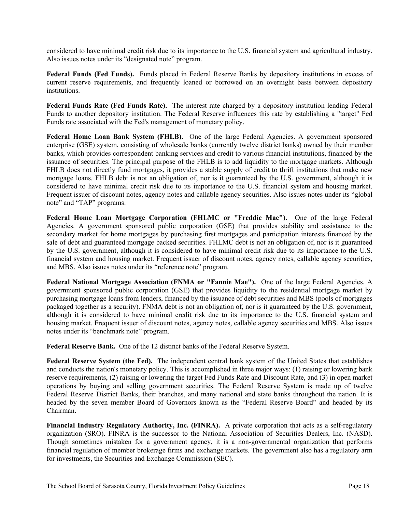considered to have minimal credit risk due to its importance to the U.S. financial system and agricultural industry. Also issues notes under its "designated note" program.

**Federal Funds (Fed Funds).** Funds placed in Federal Reserve Banks by depository institutions in excess of current reserve requirements, and frequently loaned or borrowed on an overnight basis between depository institutions.

**Federal Funds Rate (Fed Funds Rate).** The interest rate charged by a depository institution lending Federal Funds to another depository institution. The Federal Reserve influences this rate by establishing a "target" Fed Funds rate associated with the Fed's management of monetary policy.

**Federal Home Loan Bank System (FHLB).** One of the large Federal Agencies. A government sponsored enterprise (GSE) system, consisting of wholesale banks (currently twelve district banks) owned by their member banks, which provides correspondent banking services and credit to various financial institutions, financed by the issuance of securities. The principal purpose of the FHLB is to add liquidity to the mortgage markets. Although FHLB does not directly fund mortgages, it provides a stable supply of credit to thrift institutions that make new mortgage loans. FHLB debt is not an obligation of, nor is it guaranteed by the U.S. government, although it is considered to have minimal credit risk due to its importance to the U.S. financial system and housing market. Frequent issuer of discount notes, agency notes and callable agency securities. Also issues notes under its "global note" and "TAP" programs.

**Federal Home Loan Mortgage Corporation (FHLMC or "Freddie Mac").** One of the large Federal Agencies. A government sponsored public corporation (GSE) that provides stability and assistance to the secondary market for home mortgages by purchasing first mortgages and participation interests financed by the sale of debt and guaranteed mortgage backed securities. FHLMC debt is not an obligation of, nor is it guaranteed by the U.S. government, although it is considered to have minimal credit risk due to its importance to the U.S. financial system and housing market. Frequent issuer of discount notes, agency notes, callable agency securities, and MBS. Also issues notes under its "reference note" program.

**Federal National Mortgage Association (FNMA or "Fannie Mae").** One of the large Federal Agencies. A government sponsored public corporation (GSE) that provides liquidity to the residential mortgage market by purchasing mortgage loans from lenders, financed by the issuance of debt securities and MBS (pools of mortgages packaged together as a security). FNMA debt is not an obligation of, nor is it guaranteed by the U.S. government, although it is considered to have minimal credit risk due to its importance to the U.S. financial system and housing market. Frequent issuer of discount notes, agency notes, callable agency securities and MBS. Also issues notes under its "benchmark note" program.

**Federal Reserve Bank.** One of the 12 distinct banks of the Federal Reserve System.

**Federal Reserve System (the Fed).** The independent central bank system of the United States that establishes and conducts the nation's monetary policy. This is accomplished in three major ways: (1) raising or lowering bank reserve requirements, (2) raising or lowering the target Fed Funds Rate and Discount Rate, and (3) in open market operations by buying and selling government securities. The Federal Reserve System is made up of twelve Federal Reserve District Banks, their branches, and many national and state banks throughout the nation. It is headed by the seven member Board of Governors known as the "Federal Reserve Board" and headed by its Chairman.

**Financial Industry Regulatory Authority, Inc. (FINRA).** A private corporation that acts as a self-regulatory organization (SRO). FINRA is the successor to the National Association of Securities Dealers, Inc. (NASD). Though sometimes mistaken for a government agency, it is a non-governmental organization that performs financial regulation of member brokerage firms and exchange markets. The government also has a regulatory arm for investments, the Securities and Exchange Commission (SEC).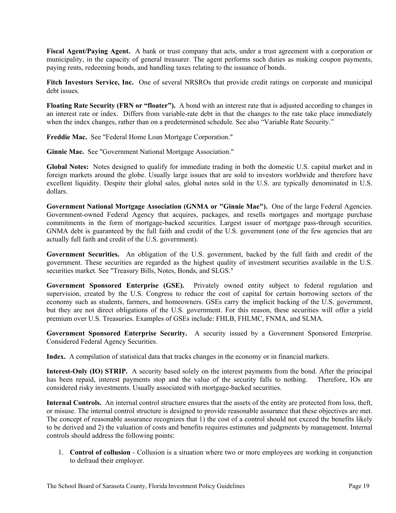**Fiscal Agent/Paying Agent.** A bank or trust company that acts, under a trust agreement with a corporation or municipality, in the capacity of general treasurer. The agent performs such duties as making coupon payments, paying rents, redeeming bonds, and handling taxes relating to the issuance of bonds.

**Fitch Investors Service, Inc.** One of several NRSROs that provide credit ratings on corporate and municipal debt issues.

**Floating Rate Security (FRN or "floater").** A bond with an interest rate that is adjusted according to changes in an interest rate or index. Differs from variable-rate debt in that the changes to the rate take place immediately when the index changes, rather than on a predetermined schedule. See also "Variable Rate Security."

**Freddie Mac.** See "Federal Home Loan Mortgage Corporation."

**Ginnie Mae.** See "Government National Mortgage Association."

**Global Notes:** Notes designed to qualify for immediate trading in both the domestic U.S. capital market and in foreign markets around the globe. Usually large issues that are sold to investors worldwide and therefore have excellent liquidity. Despite their global sales, global notes sold in the U.S. are typically denominated in U.S. dollars.

**Government National Mortgage Association (GNMA or "Ginnie Mae").** One of the large Federal Agencies. Government-owned Federal Agency that acquires, packages, and resells mortgages and mortgage purchase commitments in the form of mortgage-backed securities. Largest issuer of mortgage pass-through securities. GNMA debt is guaranteed by the full faith and credit of the U.S. government (one of the few agencies that are actually full faith and credit of the U.S. government).

**Government Securities.** An obligation of the U.S. government, backed by the full faith and credit of the government. These securities are regarded as the highest quality of investment securities available in the U.S. securities market. See "Treasury Bills, Notes, Bonds, and SLGS."

**Government Sponsored Enterprise (GSE).** Privately owned entity subject to federal regulation and supervision, created by the U.S. Congress to reduce the cost of capital for certain borrowing sectors of the economy such as students, farmers, and homeowners. GSEs carry the implicit backing of the U.S. government, but they are not direct obligations of the U.S. government. For this reason, these securities will offer a yield premium over U.S. Treasuries. Examples of GSEs include: FHLB, FHLMC, FNMA, and SLMA.

**Government Sponsored Enterprise Security.** A security issued by a Government Sponsored Enterprise. Considered Federal Agency Securities.

**Index.** A compilation of statistical data that tracks changes in the economy or in financial markets.

**Interest-Only (IO) STRIP.** A security based solely on the interest payments from the bond. After the principal has been repaid, interest payments stop and the value of the security falls to nothing. Therefore, IOs are considered risky investments. Usually associated with mortgage-backed securities.

**Internal Controls.** An internal control structure ensures that the assets of the entity are protected from loss, theft, or misuse. The internal control structure is designed to provide reasonable assurance that these objectives are met. The concept of reasonable assurance recognizes that 1) the cost of a control should not exceed the benefits likely to be derived and 2) the valuation of costs and benefits requires estimates and judgments by management. Internal controls should address the following points:

1. **Control of collusion** - Collusion is a situation where two or more employees are working in conjunction to defraud their employer.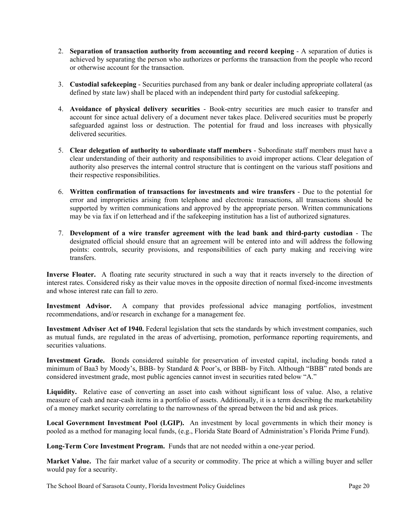- 2. **Separation of transaction authority from accounting and record keeping** A separation of duties is achieved by separating the person who authorizes or performs the transaction from the people who record or otherwise account for the transaction.
- 3. **Custodial safekeeping** Securities purchased from any bank or dealer including appropriate collateral (as defined by state law) shall be placed with an independent third party for custodial safekeeping.
- 4. **Avoidance of physical delivery securities** Book-entry securities are much easier to transfer and account for since actual delivery of a document never takes place. Delivered securities must be properly safeguarded against loss or destruction. The potential for fraud and loss increases with physically delivered securities.
- 5. **Clear delegation of authority to subordinate staff members** Subordinate staff members must have a clear understanding of their authority and responsibilities to avoid improper actions. Clear delegation of authority also preserves the internal control structure that is contingent on the various staff positions and their respective responsibilities.
- 6. **Written confirmation of transactions for investments and wire transfers** Due to the potential for error and improprieties arising from telephone and electronic transactions, all transactions should be supported by written communications and approved by the appropriate person. Written communications may be via fax if on letterhead and if the safekeeping institution has a list of authorized signatures.
- 7. **Development of a wire transfer agreement with the lead bank and third-party custodian** The designated official should ensure that an agreement will be entered into and will address the following points: controls, security provisions, and responsibilities of each party making and receiving wire transfers.

**Inverse Floater.** A floating rate security structured in such a way that it reacts inversely to the direction of interest rates. Considered risky as their value moves in the opposite direction of normal fixed-income investments and whose interest rate can fall to zero.

**Investment Advisor.** A company that provides professional advice managing portfolios, investment recommendations, and/or research in exchange for a management fee.

**Investment Adviser Act of 1940.** Federal legislation that sets the standards by which investment companies, such as mutual funds, are regulated in the areas of advertising, promotion, performance reporting requirements, and securities valuations.

**Investment Grade.** Bonds considered suitable for preservation of invested capital, including bonds rated a minimum of Baa3 by Moody's, BBB- by Standard & Poor's, or BBB- by Fitch. Although "BBB" rated bonds are considered investment grade, most public agencies cannot invest in securities rated below "A."

**Liquidity.** Relative ease of converting an asset into cash without significant loss of value. Also, a relative measure of cash and near-cash items in a portfolio of assets. Additionally, it is a term describing the marketability of a money market security correlating to the narrowness of the spread between the bid and ask prices.

**Local Government Investment Pool (LGIP).** An investment by local governments in which their money is pooled as a method for managing local funds, (e.g., Florida State Board of Administration's Florida Prime Fund).

**Long-Term Core Investment Program.** Funds that are not needed within a one-year period.

**Market Value.** The fair market value of a security or commodity. The price at which a willing buyer and seller would pay for a security.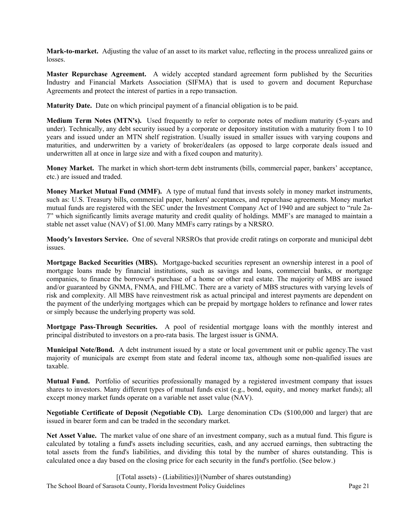**Mark-to-market.** Adjusting the value of an asset to its market value, reflecting in the process unrealized gains or losses.

**Master Repurchase Agreement.** A widely accepted standard agreement form published by the Securities Industry and Financial Markets Association (SIFMA) that is used to govern and document Repurchase Agreements and protect the interest of parties in a repo transaction.

**Maturity Date.** Date on which principal payment of a financial obligation is to be paid.

**Medium Term Notes (MTN's).** Used frequently to refer to corporate notes of medium maturity (5-years and under). Technically, any debt security issued by a corporate or depository institution with a maturity from 1 to 10 years and issued under an MTN shelf registration. Usually issued in smaller issues with varying coupons and maturities, and underwritten by a variety of broker/dealers (as opposed to large corporate deals issued and underwritten all at once in large size and with a fixed coupon and maturity).

**Money Market.** The market in which short-term debt instruments (bills, commercial paper, bankers' acceptance, etc.) are issued and traded.

**Money Market Mutual Fund (MMF).** A type of mutual fund that invests solely in money market instruments, such as: U.S. Treasury bills, commercial paper, bankers' acceptances, and repurchase agreements. Money market mutual funds are registered with the SEC under the Investment Company Act of 1940 and are subject to "rule 2a-7" which significantly limits average maturity and credit quality of holdings. MMF's are managed to maintain a stable net asset value (NAV) of \$1.00. Many MMFs carry ratings by a NRSRO.

**Moody's Investors Service.** One of several NRSROs that provide credit ratings on corporate and municipal debt issues.

**Mortgage Backed Securities (MBS).** Mortgage-backed securities represent an ownership interest in a pool of mortgage loans made by financial institutions, such as savings and loans, commercial banks, or mortgage companies, to finance the borrower's purchase of a home or other real estate. The majority of MBS are issued and/or guaranteed by GNMA, FNMA, and FHLMC. There are a variety of MBS structures with varying levels of risk and complexity. All MBS have reinvestment risk as actual principal and interest payments are dependent on the payment of the underlying mortgages which can be prepaid by mortgage holders to refinance and lower rates or simply because the underlying property was sold.

**Mortgage Pass-Through Securities.** A pool of residential mortgage loans with the monthly interest and principal distributed to investors on a pro-rata basis. The largest issuer is GNMA.

**Municipal Note/Bond.** A debt instrument issued by a state or local government unit or public agency.The vast majority of municipals are exempt from state and federal income tax, although some non-qualified issues are taxable.

**Mutual Fund.** Portfolio of securities professionally managed by a registered investment company that issues shares to investors. Many different types of mutual funds exist (e.g., bond, equity, and money market funds); all except money market funds operate on a variable net asset value (NAV).

**Negotiable Certificate of Deposit (Negotiable CD).** Large denomination CDs (\$100,000 and larger) that are issued in bearer form and can be traded in the secondary market.

**Net Asset Value.** The market value of one share of an investment company, such as a mutual fund. This figure is calculated by totaling a fund's assets including securities, cash, and any accrued earnings, then subtracting the total assets from the fund's liabilities, and dividing this total by the number of shares outstanding. This is calculated once a day based on the closing price for each security in the fund's portfolio. (See below.)

The School Board of Sarasota County, Florida Investment Policy Guidelines Page 21 [(Total assets) - (Liabilities)]/(Number of shares outstanding)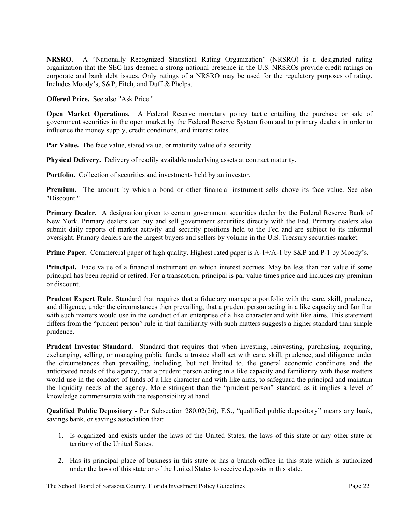**NRSRO.** A "Nationally Recognized Statistical Rating Organization" (NRSRO) is a designated rating organization that the SEC has deemed a strong national presence in the U.S. NRSROs provide credit ratings on corporate and bank debt issues. Only ratings of a NRSRO may be used for the regulatory purposes of rating. Includes Moody's, S&P, Fitch, and Duff & Phelps.

**Offered Price.** See also "Ask Price."

**Open Market Operations.** A Federal Reserve monetary policy tactic entailing the purchase or sale of government securities in the open market by the Federal Reserve System from and to primary dealers in order to influence the money supply, credit conditions, and interest rates.

**Par Value.** The face value, stated value, or maturity value of a security.

**Physical Delivery.** Delivery of readily available underlying assets at contract maturity.

Portfolio. Collection of securities and investments held by an investor.

**Premium.** The amount by which a bond or other financial instrument sells above its face value. See also "Discount."

**Primary Dealer.** A designation given to certain government securities dealer by the Federal Reserve Bank of New York. Primary dealers can buy and sell government securities directly with the Fed. Primary dealers also submit daily reports of market activity and security positions held to the Fed and are subject to its informal oversight. Primary dealers are the largest buyers and sellers by volume in the U.S. Treasury securities market.

**Prime Paper.** Commercial paper of high quality. Highest rated paper is A-1+/A-1 by S&P and P-1 by Moody's.

**Principal.** Face value of a financial instrument on which interest accrues. May be less than par value if some principal has been repaid or retired. For a transaction, principal is par value times price and includes any premium or discount.

**Prudent Expert Rule**. Standard that requires that a fiduciary manage a portfolio with the care, skill, prudence, and diligence, under the circumstances then prevailing, that a prudent person acting in a like capacity and familiar with such matters would use in the conduct of an enterprise of a like character and with like aims. This statement differs from the "prudent person" rule in that familiarity with such matters suggests a higher standard than simple prudence.

**Prudent Investor Standard.** Standard that requires that when investing, reinvesting, purchasing, acquiring, exchanging, selling, or managing public funds, a trustee shall act with care, skill, prudence, and diligence under the circumstances then prevailing, including, but not limited to, the general economic conditions and the anticipated needs of the agency, that a prudent person acting in a like capacity and familiarity with those matters would use in the conduct of funds of a like character and with like aims, to safeguard the principal and maintain the liquidity needs of the agency. More stringent than the "prudent person" standard as it implies a level of knowledge commensurate with the responsibility at hand.

**Qualified Public Depository** - Per Subsection 280.02(26), F.S., "qualified public depository" means any bank, savings bank, or savings association that:

- 1. Is organized and exists under the laws of the United States, the laws of this state or any other state or territory of the United States.
- 2. Has its principal place of business in this state or has a branch office in this state which is authorized under the laws of this state or of the United States to receive deposits in this state.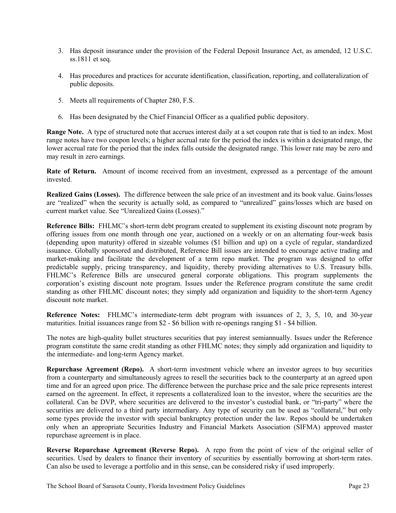- 3. Has deposit insurance under the provision of the Federal Deposit Insurance Act, as amended, 12 U.S.C. ss.1811 et seq.
- 4. Has procedures and practices for accurate identification, classification, reporting, and collateralization of public deposits.
- 5. Meets all requirements of Chapter 280, F.S.
- 6. Has been designated by the Chief Financial Officer as a qualified public depository.

**Range Note.** A type of structured note that accrues interest daily at a set coupon rate that is tied to an index. Most range notes have two coupon levels; a higher accrual rate for the period the index is within a designated range, the lower accrual rate for the period that the index falls outside the designated range. This lower rate may be zero and may result in zero earnings.

**Rate of Return.** Amount of income received from an investment, expressed as a percentage of the amount invested.

**Realized Gains (Losses).** The difference between the sale price of an investment and its book value. Gains/losses are "realized" when the security is actually sold, as compared to "unrealized" gains/losses which are based on current market value. See "Unrealized Gains (Losses)."

**Reference Bills:** FHLMC's short-term debt program created to supplement its existing discount note program by offering issues from one month through one year, auctioned on a weekly or on an alternating four-week basis (depending upon maturity) offered in sizeable volumes (\$1 billion and up) on a cycle of regular, standardized issuance. Globally sponsored and distributed, Reference Bill issues are intended to encourage active trading and market-making and facilitate the development of a term repo market. The program was designed to offer predictable supply, pricing transparency, and liquidity, thereby providing alternatives to U.S. Treasury bills. FHLMC's Reference Bills are unsecured general corporate obligations. This program supplements the corporation's existing discount note program. Issues under the Reference program constitute the same credit standing as other FHLMC discount notes; they simply add organization and liquidity to the short-term Agency discount note market.

**Reference Notes:** FHLMC's intermediate-term debt program with issuances of 2, 3, 5, 10, and 30-year maturities. Initial issuances range from \$2 - \$6 billion with re-openings ranging \$1 - \$4 billion.

The notes are high-quality bullet structures securities that pay interest semiannually. Issues under the Reference program constitute the same credit standing as other FHLMC notes; they simply add organization and liquidity to the intermediate- and long-term Agency market.

**Repurchase Agreement (Repo).** A short-term investment vehicle where an investor agrees to buy securities from a counterparty and simultaneously agrees to resell the securities back to the counterparty at an agreed upon time and for an agreed upon price. The difference between the purchase price and the sale price represents interest earned on the agreement. In effect, it represents a collateralized loan to the investor, where the securities are the collateral. Can be DVP, where securities are delivered to the investor's custodial bank, or "tri-party" where the securities are delivered to a third party intermediary. Any type of security can be used as "collateral," but only some types provide the investor with special bankruptcy protection under the law. Repos should be undertaken only when an appropriate Securities Industry and Financial Markets Association (SIFMA) approved master repurchase agreement is in place.

**Reverse Repurchase Agreement (Reverse Repo).** A repo from the point of view of the original seller of securities. Used by dealers to finance their inventory of securities by essentially borrowing at short-term rates. Can also be used to leverage a portfolio and in this sense, can be considered risky if used improperly.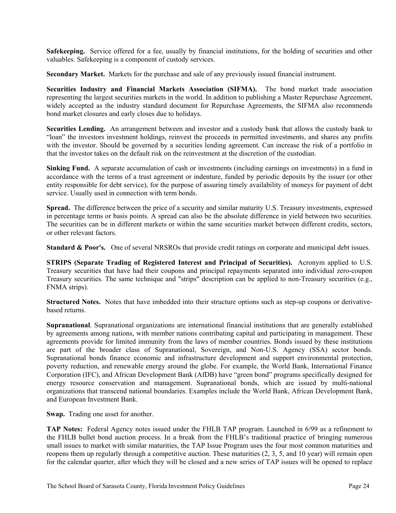**Safekeeping.** Service offered for a fee, usually by financial institutions, for the holding of securities and other valuables. Safekeeping is a component of custody services.

**Secondary Market.** Markets for the purchase and sale of any previously issued financial instrument.

**Securities Industry and Financial Markets Association (SIFMA).** The bond market trade association representing the largest securities markets in the world. In addition to publishing a Master Repurchase Agreement, widely accepted as the industry standard document for Repurchase Agreements, the SIFMA also recommends bond market closures and early closes due to holidays.

**Securities Lending.** An arrangement between and investor and a custody bank that allows the custody bank to "loan" the investors investment holdings, reinvest the proceeds in permitted investments, and shares any profits with the investor. Should be governed by a securities lending agreement. Can increase the risk of a portfolio in that the investor takes on the default risk on the reinvestment at the discretion of the custodian.

**Sinking Fund.** A separate accumulation of cash or investments (including earnings on investments) in a fund in accordance with the terms of a trust agreement or indenture, funded by periodic deposits by the issuer (or other entity responsible for debt service), for the purpose of assuring timely availability of moneys for payment of debt service. Usually used in connection with term bonds.

**Spread.** The difference between the price of a security and similar maturity U.S. Treasury investments, expressed in percentage terms or basis points. A spread can also be the absolute difference in yield between two securities. The securities can be in different markets or within the same securities market between different credits, sectors, or other relevant factors.

**Standard & Poor's.** One of several NRSROs that provide credit ratings on corporate and municipal debt issues.

**STRIPS (Separate Trading of Registered Interest and Principal of Securities).** Acronym applied to U.S. Treasury securities that have had their coupons and principal repayments separated into individual zero-coupon Treasury securities. The same technique and "strips" description can be applied to non-Treasury securities (e.g., FNMA strips).

**Structured Notes.** Notes that have imbedded into their structure options such as step-up coupons or derivativebased returns.

**Supranational**. Supranational organizations are international financial institutions that are generally established by agreements among nations, with member nations contributing capital and participating in management. These agreements provide for limited immunity from the laws of member countries. Bonds issued by these institutions are part of the broader class of Supranational, Sovereign, and Non-U.S. Agency (SSA) sector bonds. Supranational bonds finance economic and infrastructure development and support environmental protection, poverty reduction, and renewable energy around the globe. For example, the World Bank, International Finance Corporation (IFC), and African Development Bank (AfDB) have "green bond" programs specifically designed for energy resource conservation and management. Supranational bonds, which are issued by multi-national organizations that transcend national boundaries. Examples include the World Bank, African Development Bank, and European Investment Bank.

**Swap.** Trading one asset for another.

**TAP Notes:** Federal Agency notes issued under the FHLB TAP program. Launched in 6/99 as a refinement to the FHLB bullet bond auction process. In a break from the FHLB's traditional practice of bringing numerous small issues to market with similar maturities, the TAP Issue Program uses the four most common maturities and reopens them up regularly through a competitive auction. These maturities (2, 3, 5, and 10 year) will remain open for the calendar quarter, after which they will be closed and a new series of TAP issues will be opened to replace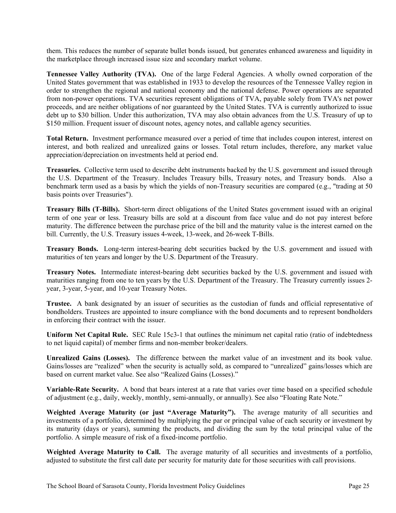them. This reduces the number of separate bullet bonds issued, but generates enhanced awareness and liquidity in the marketplace through increased issue size and secondary market volume.

**Tennessee Valley Authority (TVA).** One of the large Federal Agencies. A wholly owned corporation of the United States government that was established in 1933 to develop the resources of the Tennessee Valley region in order to strengthen the regional and national economy and the national defense. Power operations are separated from non-power operations. TVA securities represent obligations of TVA, payable solely from TVA's net power proceeds, and are neither obligations of nor guaranteed by the United States. TVA is currently authorized to issue debt up to \$30 billion. Under this authorization, TVA may also obtain advances from the U.S. Treasury of up to \$150 million. Frequent issuer of discount notes, agency notes, and callable agency securities.

**Total Return.** Investment performance measured over a period of time that includes coupon interest, interest on interest, and both realized and unrealized gains or losses. Total return includes, therefore, any market value appreciation/depreciation on investments held at period end.

**Treasuries.** Collective term used to describe debt instruments backed by the U.S. government and issued through the U.S. Department of the Treasury. Includes Treasury bills, Treasury notes, and Treasury bonds. Also a benchmark term used as a basis by which the yields of non-Treasury securities are compared (e.g., "trading at 50 basis points over Treasuries").

**Treasury Bills (T-Bills).** Short-term direct obligations of the United States government issued with an original term of one year or less. Treasury bills are sold at a discount from face value and do not pay interest before maturity. The difference between the purchase price of the bill and the maturity value is the interest earned on the bill. Currently, the U.S. Treasury issues 4-week, 13-week, and 26-week T-Bills.

**Treasury Bonds.** Long-term interest-bearing debt securities backed by the U.S. government and issued with maturities of ten years and longer by the U.S. Department of the Treasury.

**Treasury Notes.** Intermediate interest-bearing debt securities backed by the U.S. government and issued with maturities ranging from one to ten years by the U.S. Department of the Treasury. The Treasury currently issues 2 year, 3-year, 5-year, and 10-year Treasury Notes.

**Trustee.** A bank designated by an issuer of securities as the custodian of funds and official representative of bondholders. Trustees are appointed to insure compliance with the bond documents and to represent bondholders in enforcing their contract with the issuer.

**Uniform Net Capital Rule.** SEC Rule 15c3-1 that outlines the minimum net capital ratio (ratio of indebtedness to net liquid capital) of member firms and non-member broker/dealers.

**Unrealized Gains (Losses).** The difference between the market value of an investment and its book value. Gains/losses are "realized" when the security is actually sold, as compared to "unrealized" gains/losses which are based on current market value. See also "Realized Gains (Losses)."

**Variable-Rate Security.** A bond that bears interest at a rate that varies over time based on a specified schedule of adjustment (e.g., daily, weekly, monthly, semi-annually, or annually). See also "Floating Rate Note."

**Weighted Average Maturity (or just "Average Maturity").** The average maturity of all securities and investments of a portfolio, determined by multiplying the par or principal value of each security or investment by its maturity (days or years), summing the products, and dividing the sum by the total principal value of the portfolio. A simple measure of risk of a fixed-income portfolio.

**Weighted Average Maturity to Call.** The average maturity of all securities and investments of a portfolio, adjusted to substitute the first call date per security for maturity date for those securities with call provisions.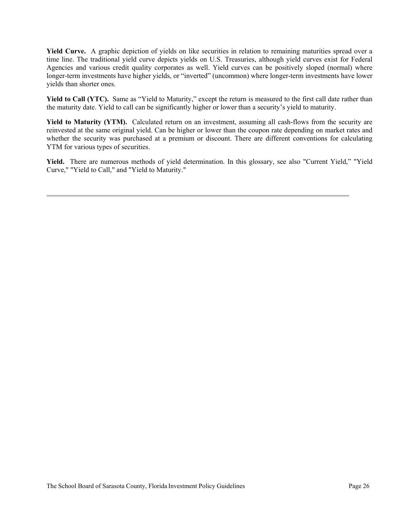**Yield Curve.** A graphic depiction of yields on like securities in relation to remaining maturities spread over a time line. The traditional yield curve depicts yields on U.S. Treasuries, although yield curves exist for Federal Agencies and various credit quality corporates as well. Yield curves can be positively sloped (normal) where longer-term investments have higher yields, or "inverted" (uncommon) where longer-term investments have lower yields than shorter ones.

Yield to Call (YTC). Same as "Yield to Maturity," except the return is measured to the first call date rather than the maturity date. Yield to call can be significantly higher or lower than a security's yield to maturity.

Yield to Maturity (YTM). Calculated return on an investment, assuming all cash-flows from the security are reinvested at the same original yield. Can be higher or lower than the coupon rate depending on market rates and whether the security was purchased at a premium or discount. There are different conventions for calculating YTM for various types of securities.

**Yield.** There are numerous methods of yield determination. In this glossary, see also "Current Yield," "Yield Curve," "Yield to Call," and "Yield to Maturity."